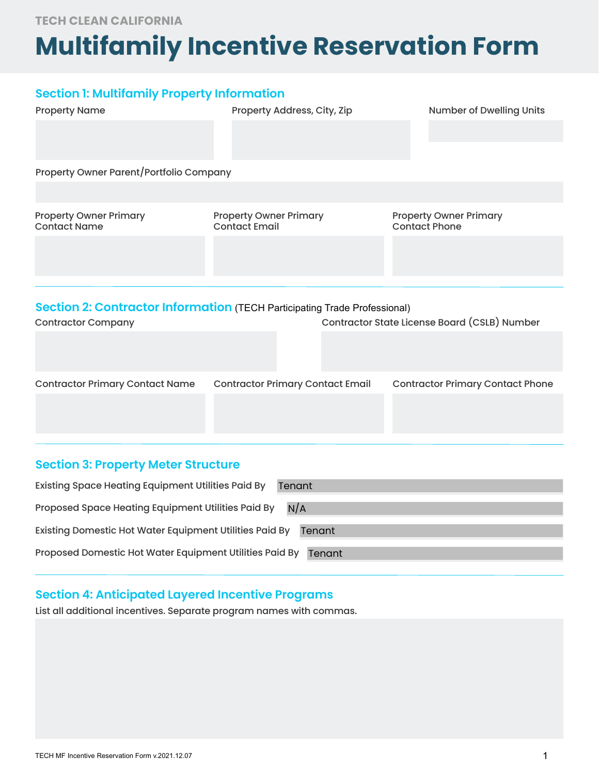**TECH CLEAN CALIFORNIA**

# **Multifamily Incentive Reservation Form**

## **Section 1: Multifamily Property Information**

| <b>Property Name</b>                                                             | Property Address, City, Zip                           | <b>Number of Dwelling Units</b>                       |  |  |  |
|----------------------------------------------------------------------------------|-------------------------------------------------------|-------------------------------------------------------|--|--|--|
|                                                                                  |                                                       |                                                       |  |  |  |
|                                                                                  |                                                       |                                                       |  |  |  |
| Property Owner Parent/Portfolio Company                                          |                                                       |                                                       |  |  |  |
|                                                                                  |                                                       |                                                       |  |  |  |
| <b>Property Owner Primary</b><br><b>Contact Name</b>                             | <b>Property Owner Primary</b><br><b>Contact Email</b> | <b>Property Owner Primary</b><br><b>Contact Phone</b> |  |  |  |
|                                                                                  |                                                       |                                                       |  |  |  |
|                                                                                  |                                                       |                                                       |  |  |  |
|                                                                                  |                                                       |                                                       |  |  |  |
| <b>Section 2: Contractor Information (TECH Participating Trade Professional)</b> |                                                       |                                                       |  |  |  |
| <b>Contractor Company</b>                                                        |                                                       | Contractor State License Board (CSLB) Number          |  |  |  |
|                                                                                  |                                                       |                                                       |  |  |  |
| <b>Contractor Primary Contact Name</b>                                           | <b>Contractor Primary Contact Email</b>               | <b>Contractor Primary Contact Phone</b>               |  |  |  |

## **Section 3: Property Meter Structure**

| <b>Existing Space Heating Equipment Utilities Paid By</b><br>Tenant |
|---------------------------------------------------------------------|
| Proposed Space Heating Equipment Utilities Paid By<br>N/A           |
| Existing Domestic Hot Water Equipment Utilities Paid By<br>Tenant   |
| Proposed Domestic Hot Water Equipment Utilities Paid By<br>Tenant   |

# **Section 4: Anticipated Layered Incentive Programs**

List all additional incentives. Separate program names with commas.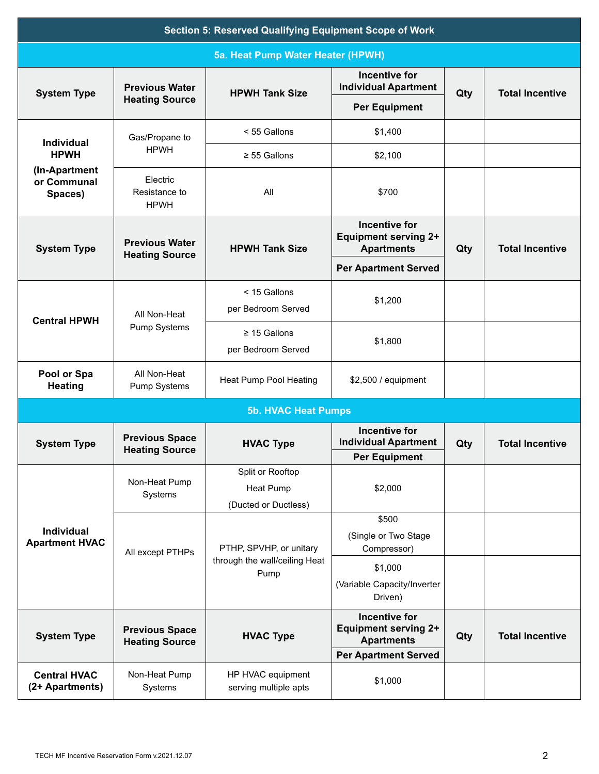| <b>Section 5: Reserved Qualifying Equipment Scope of Work</b> |                                                |                                                                  |                                                                                                         |     |                        |
|---------------------------------------------------------------|------------------------------------------------|------------------------------------------------------------------|---------------------------------------------------------------------------------------------------------|-----|------------------------|
| 5a. Heat Pump Water Heater (HPWH)                             |                                                |                                                                  |                                                                                                         |     |                        |
| <b>System Type</b>                                            | <b>Previous Water</b>                          | <b>HPWH Tank Size</b>                                            | <b>Incentive for</b><br><b>Individual Apartment</b>                                                     | Qty | <b>Total Incentive</b> |
|                                                               | <b>Heating Source</b>                          |                                                                  | <b>Per Equipment</b>                                                                                    |     |                        |
| <b>Individual</b>                                             | Gas/Propane to                                 | < 55 Gallons                                                     | \$1,400                                                                                                 |     |                        |
| <b>HPWH</b>                                                   | <b>HPWH</b>                                    | $\geq$ 55 Gallons                                                | \$2,100                                                                                                 |     |                        |
| (In-Apartment<br>or Communal<br>Spaces)                       | Electric<br>Resistance to<br><b>HPWH</b>       | All                                                              | \$700                                                                                                   |     |                        |
| <b>System Type</b>                                            | <b>Previous Water</b><br><b>Heating Source</b> | <b>HPWH Tank Size</b>                                            | <b>Incentive for</b><br><b>Equipment serving 2+</b><br><b>Apartments</b>                                | Qty | <b>Total Incentive</b> |
|                                                               |                                                |                                                                  | <b>Per Apartment Served</b>                                                                             |     |                        |
| <b>Central HPWH</b>                                           | All Non-Heat<br>Pump Systems                   | < 15 Gallons<br>per Bedroom Served                               | \$1,200                                                                                                 |     |                        |
|                                                               |                                                | $\geq$ 15 Gallons<br>per Bedroom Served                          | \$1,800                                                                                                 |     |                        |
| Pool or Spa<br><b>Heating</b>                                 | All Non-Heat<br>Pump Systems                   | Heat Pump Pool Heating                                           | \$2,500 / equipment                                                                                     |     |                        |
| <b>5b. HVAC Heat Pumps</b>                                    |                                                |                                                                  |                                                                                                         |     |                        |
| <b>System Type</b>                                            | <b>Previous Space</b><br><b>Heating Source</b> | <b>HVAC Type</b>                                                 | <b>Incentive for</b><br><b>Individual Apartment</b>                                                     | Qty | <b>Total Incentive</b> |
|                                                               | Non-Heat Pump<br>Systems                       | Split or Rooftop<br><b>Heat Pump</b><br>(Ducted or Ductless)     | <b>Per Equipment</b><br>\$2,000                                                                         |     |                        |
| Individual<br><b>Apartment HVAC</b>                           | All except PTHPs                               | PTHP, SPVHP, or unitary<br>through the wall/ceiling Heat<br>Pump | \$500<br>(Single or Two Stage<br>Compressor)                                                            |     |                        |
|                                                               |                                                |                                                                  | \$1,000<br>(Variable Capacity/Inverter<br>Driven)                                                       |     |                        |
| <b>System Type</b>                                            | <b>Previous Space</b><br><b>Heating Source</b> | <b>HVAC Type</b>                                                 | <b>Incentive for</b><br><b>Equipment serving 2+</b><br><b>Apartments</b><br><b>Per Apartment Served</b> | Qty | <b>Total Incentive</b> |
| <b>Central HVAC</b><br>(2+ Apartments)                        | Non-Heat Pump<br>Systems                       | HP HVAC equipment<br>serving multiple apts                       | \$1,000                                                                                                 |     |                        |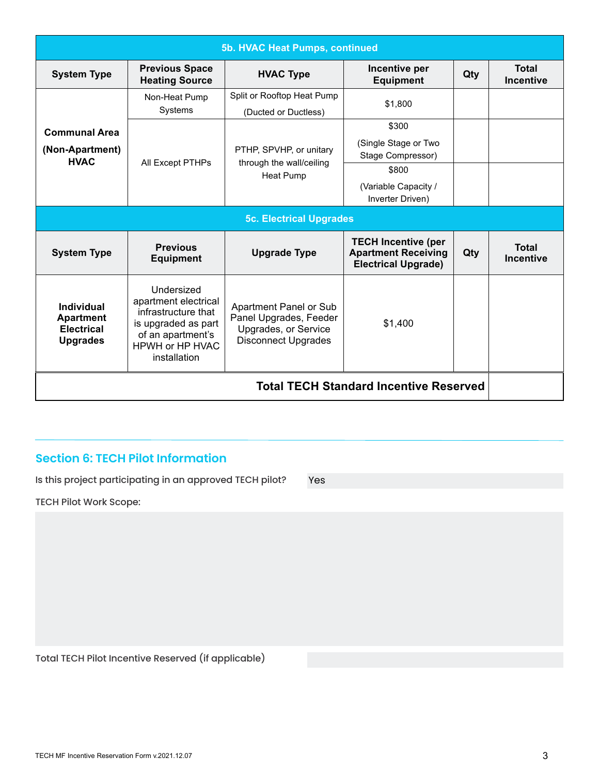| 5b. HVAC Heat Pumps, continued                                         |                                                                                                                                                 |                                                                                                        |                                                                                                         |     |                                  |
|------------------------------------------------------------------------|-------------------------------------------------------------------------------------------------------------------------------------------------|--------------------------------------------------------------------------------------------------------|---------------------------------------------------------------------------------------------------------|-----|----------------------------------|
| <b>System Type</b>                                                     | <b>Previous Space</b><br><b>Heating Source</b>                                                                                                  | <b>HVAC Type</b>                                                                                       | Incentive per<br><b>Equipment</b>                                                                       | Qty | <b>Total</b><br><b>Incentive</b> |
|                                                                        | Non-Heat Pump<br>Systems                                                                                                                        | Split or Rooftop Heat Pump<br>(Ducted or Ductless)                                                     | \$1,800                                                                                                 |     |                                  |
| <b>Communal Area</b><br>(Non-Apartment)<br><b>HVAC</b>                 | All Except PTHPs                                                                                                                                | PTHP, SPVHP, or unitary<br>through the wall/ceiling<br><b>Heat Pump</b>                                | \$300<br>(Single Stage or Two<br>Stage Compressor)<br>\$800<br>(Variable Capacity /<br>Inverter Driven) |     |                                  |
| <b>5c. Electrical Upgrades</b>                                         |                                                                                                                                                 |                                                                                                        |                                                                                                         |     |                                  |
| <b>System Type</b>                                                     | <b>Previous</b><br><b>Equipment</b>                                                                                                             | <b>Upgrade Type</b>                                                                                    | <b>TECH Incentive (per</b><br><b>Apartment Receiving</b><br><b>Electrical Upgrade)</b>                  | Qty | <b>Total</b><br><b>Incentive</b> |
| Individual<br><b>Apartment</b><br><b>Electrical</b><br><b>Upgrades</b> | Undersized<br>apartment electrical<br>infrastructure that<br>is upgraded as part<br>of an apartment's<br><b>HPWH or HP HVAC</b><br>installation | Apartment Panel or Sub<br>Panel Upgrades, Feeder<br>Upgrades, or Service<br><b>Disconnect Upgrades</b> | \$1,400                                                                                                 |     |                                  |
| <b>Total TECH Standard Incentive Reserved</b>                          |                                                                                                                                                 |                                                                                                        |                                                                                                         |     |                                  |

## **Section 6: TECH Pilot Information**

Is this project participating in an approved TECH pilot?

Yes

TECH Pilot Work Scope:

Total TECH Pilot Incentive Reserved (if applicable)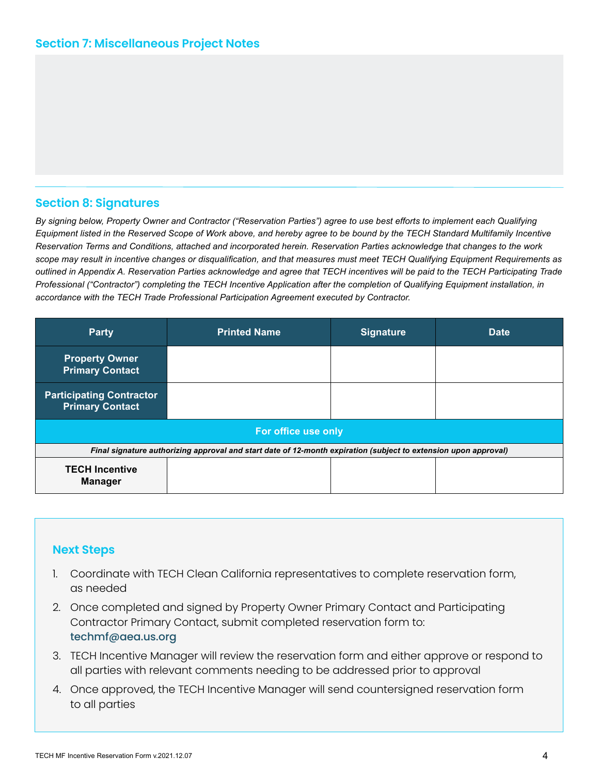## **Section 8: Signatures**

*By signing below, Property Owner and Contractor ("Reservation Parties") agree to use best efforts to implement each Qualifying Equipment listed in the Reserved Scope of Work above, and hereby agree to be bound by the TECH Standard Multifamily Incentive Reservation Terms and Conditions, attached and incorporated herein. Reservation Parties acknowledge that changes to the work scope may result in incentive changes or disqualification, and that measures must meet TECH Qualifying Equipment Requirements as outlined in Appendix A. Reservation Parties acknowledge and agree that TECH incentives will be paid to the TECH Participating Trade Professional ("Contractor") completing the TECH Incentive Application after the completion of Qualifying Equipment installation, in accordance with the TECH Trade Professional Participation Agreement executed by Contractor.*

| <b>Party</b>                                                                                                    | <b>Printed Name</b> | <b>Signature</b> | <b>Date</b> |  |  |
|-----------------------------------------------------------------------------------------------------------------|---------------------|------------------|-------------|--|--|
| <b>Property Owner</b><br><b>Primary Contact</b>                                                                 |                     |                  |             |  |  |
| <b>Participating Contractor</b><br><b>Primary Contact</b>                                                       |                     |                  |             |  |  |
| For office use only                                                                                             |                     |                  |             |  |  |
| Final signature authorizing approval and start date of 12-month expiration (subject to extension upon approval) |                     |                  |             |  |  |
| <b>TECH Incentive</b><br><b>Manager</b>                                                                         |                     |                  |             |  |  |

#### **Next Steps**

- 1. Coordinate with TECH Clean California representatives to complete reservation form, as needed
- 2. Once completed and signed by Property Owner Primary Contact and Participating Contractor Primary Contact, submit completed reservation form to: techmf@aea.us.org
- 3. TECH Incentive Manager will review the reservation form and either approve or respond to all parties with relevant comments needing to be addressed prior to approval
- 4. Once approved, the TECH Incentive Manager will send countersigned reservation form to all parties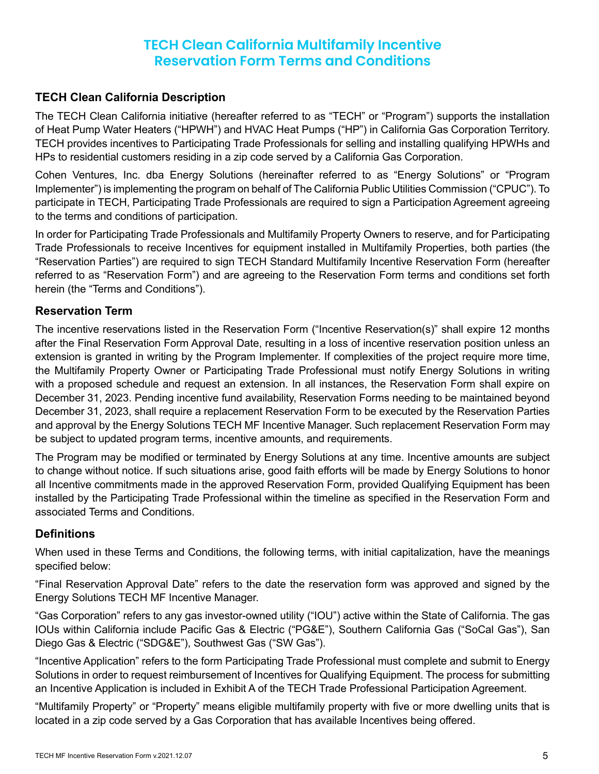# **TECH Clean California Multifamily Incentive Reservation Form Terms and Conditions**

## **TECH Clean California Description**

The TECH Clean California initiative (hereafter referred to as "TECH" or "Program") supports the installation of Heat Pump Water Heaters ("HPWH") and HVAC Heat Pumps ("HP") in California Gas Corporation Territory. TECH provides incentives to Participating Trade Professionals for selling and installing qualifying HPWHs and HPs to residential customers residing in a zip code served by a California Gas Corporation.

Cohen Ventures, Inc. dba Energy Solutions (hereinafter referred to as "Energy Solutions" or "Program Implementer") is implementing the program on behalf of The California Public Utilities Commission ("CPUC"). To participate in TECH, Participating Trade Professionals are required to sign a Participation Agreement agreeing to the terms and conditions of participation.

In order for Participating Trade Professionals and Multifamily Property Owners to reserve, and for Participating Trade Professionals to receive Incentives for equipment installed in Multifamily Properties, both parties (the "Reservation Parties") are required to sign TECH Standard Multifamily Incentive Reservation Form (hereafter referred to as "Reservation Form") and are agreeing to the Reservation Form terms and conditions set forth herein (the "Terms and Conditions").

## **Reservation Term**

The incentive reservations listed in the Reservation Form ("Incentive Reservation(s)" shall expire 12 months after the Final Reservation Form Approval Date, resulting in a loss of incentive reservation position unless an extension is granted in writing by the Program Implementer. If complexities of the project require more time, the Multifamily Property Owner or Participating Trade Professional must notify Energy Solutions in writing with a proposed schedule and request an extension. In all instances, the Reservation Form shall expire on December 31, 2023. Pending incentive fund availability, Reservation Forms needing to be maintained beyond December 31, 2023, shall require a replacement Reservation Form to be executed by the Reservation Parties and approval by the Energy Solutions TECH MF Incentive Manager. Such replacement Reservation Form may be subject to updated program terms, incentive amounts, and requirements.

The Program may be modified or terminated by Energy Solutions at any time. Incentive amounts are subject to change without notice. If such situations arise, good faith efforts will be made by Energy Solutions to honor all Incentive commitments made in the approved Reservation Form, provided Qualifying Equipment has been installed by the Participating Trade Professional within the timeline as specified in the Reservation Form and associated Terms and Conditions.

## **Definitions**

When used in these Terms and Conditions, the following terms, with initial capitalization, have the meanings specified below:

"Final Reservation Approval Date" refers to the date the reservation form was approved and signed by the Energy Solutions TECH MF Incentive Manager.

"Gas Corporation" refers to any gas investor-owned utility ("IOU") active within the State of California. The gas IOUs within California include Pacific Gas & Electric ("PG&E"), Southern California Gas ("SoCal Gas"), San Diego Gas & Electric ("SDG&E"), Southwest Gas ("SW Gas").

"Incentive Application" refers to the form Participating Trade Professional must complete and submit to Energy Solutions in order to request reimbursement of Incentives for Qualifying Equipment. The process for submitting an Incentive Application is included in Exhibit A of the TECH Trade Professional Participation Agreement.

"Multifamily Property" or "Property" means eligible multifamily property with five or more dwelling units that is located in a zip code served by a Gas Corporation that has available Incentives being offered.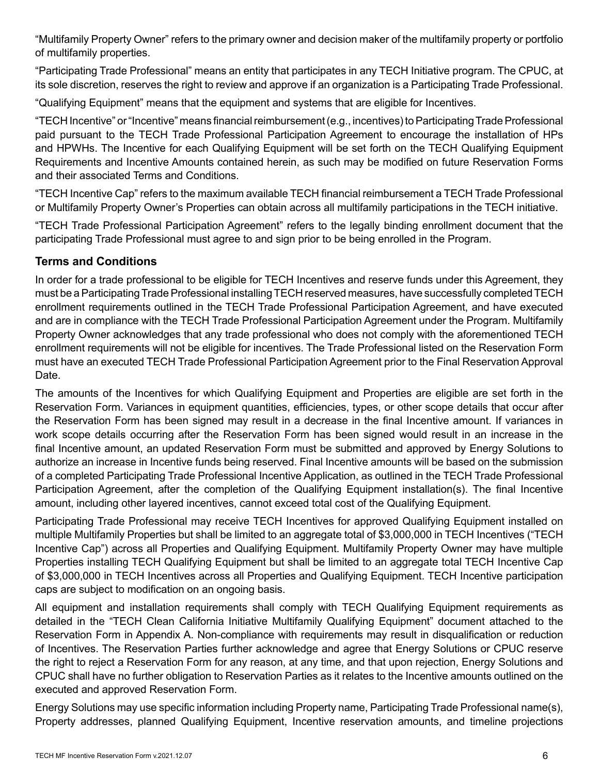"Multifamily Property Owner" refers to the primary owner and decision maker of the multifamily property or portfolio of multifamily properties.

"Participating Trade Professional" means an entity that participates in any TECH Initiative program. The CPUC, at its sole discretion, reserves the right to review and approve if an organization is a Participating Trade Professional.

"Qualifying Equipment" means that the equipment and systems that are eligible for Incentives.

"TECH Incentive" or "Incentive" means financial reimbursement (e.g., incentives) to Participating Trade Professional paid pursuant to the TECH Trade Professional Participation Agreement to encourage the installation of HPs and HPWHs. The Incentive for each Qualifying Equipment will be set forth on the TECH Qualifying Equipment Requirements and Incentive Amounts contained herein, as such may be modified on future Reservation Forms and their associated Terms and Conditions.

"TECH Incentive Cap" refers to the maximum available TECH financial reimbursement a TECH Trade Professional or Multifamily Property Owner's Properties can obtain across all multifamily participations in the TECH initiative.

"TECH Trade Professional Participation Agreement" refers to the legally binding enrollment document that the participating Trade Professional must agree to and sign prior to be being enrolled in the Program.

## **Terms and Conditions**

In order for a trade professional to be eligible for TECH Incentives and reserve funds under this Agreement, they must be a Participating Trade Professional installing TECH reserved measures, have successfully completed TECH enrollment requirements outlined in the TECH Trade Professional Participation Agreement, and have executed and are in compliance with the TECH Trade Professional Participation Agreement under the Program. Multifamily Property Owner acknowledges that any trade professional who does not comply with the aforementioned TECH enrollment requirements will not be eligible for incentives. The Trade Professional listed on the Reservation Form must have an executed TECH Trade Professional Participation Agreement prior to the Final Reservation Approval Date.

The amounts of the Incentives for which Qualifying Equipment and Properties are eligible are set forth in the Reservation Form. Variances in equipment quantities, efficiencies, types, or other scope details that occur after the Reservation Form has been signed may result in a decrease in the final Incentive amount. If variances in work scope details occurring after the Reservation Form has been signed would result in an increase in the final Incentive amount, an updated Reservation Form must be submitted and approved by Energy Solutions to authorize an increase in Incentive funds being reserved. Final Incentive amounts will be based on the submission of a completed Participating Trade Professional Incentive Application, as outlined in the TECH Trade Professional Participation Agreement, after the completion of the Qualifying Equipment installation(s). The final Incentive amount, including other layered incentives, cannot exceed total cost of the Qualifying Equipment.

Participating Trade Professional may receive TECH Incentives for approved Qualifying Equipment installed on multiple Multifamily Properties but shall be limited to an aggregate total of \$3,000,000 in TECH Incentives ("TECH Incentive Cap") across all Properties and Qualifying Equipment. Multifamily Property Owner may have multiple Properties installing TECH Qualifying Equipment but shall be limited to an aggregate total TECH Incentive Cap of \$3,000,000 in TECH Incentives across all Properties and Qualifying Equipment. TECH Incentive participation caps are subject to modification on an ongoing basis.

All equipment and installation requirements shall comply with TECH Qualifying Equipment requirements as detailed in the "TECH Clean California Initiative Multifamily Qualifying Equipment" document attached to the Reservation Form in Appendix A. Non-compliance with requirements may result in disqualification or reduction of Incentives. The Reservation Parties further acknowledge and agree that Energy Solutions or CPUC reserve the right to reject a Reservation Form for any reason, at any time, and that upon rejection, Energy Solutions and CPUC shall have no further obligation to Reservation Parties as it relates to the Incentive amounts outlined on the executed and approved Reservation Form.

Energy Solutions may use specific information including Property name, Participating Trade Professional name(s), Property addresses, planned Qualifying Equipment, Incentive reservation amounts, and timeline projections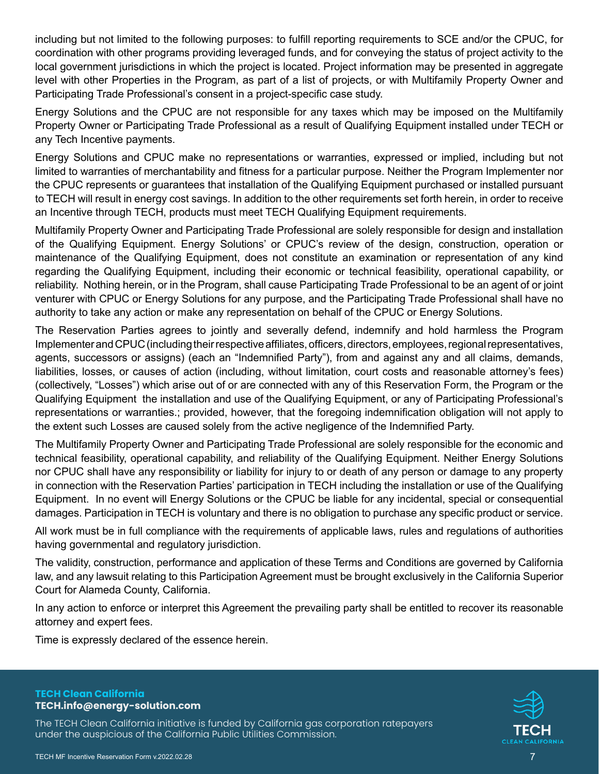including but not limited to the following purposes: to fulfill reporting requirements to SCE and/or the CPUC, for coordination with other programs providing leveraged funds, and for conveying the status of project activity to the local government jurisdictions in which the project is located. Project information may be presented in aggregate level with other Properties in the Program, as part of a list of projects, or with Multifamily Property Owner and Participating Trade Professional's consent in a project-specific case study.

Energy Solutions and the CPUC are not responsible for any taxes which may be imposed on the Multifamily Property Owner or Participating Trade Professional as a result of Qualifying Equipment installed under TECH or any Tech Incentive payments.

Energy Solutions and CPUC make no representations or warranties, expressed or implied, including but not limited to warranties of merchantability and fitness for a particular purpose. Neither the Program Implementer nor the CPUC represents or guarantees that installation of the Qualifying Equipment purchased or installed pursuant to TECH will result in energy cost savings. In addition to the other requirements set forth herein, in order to receive an Incentive through TECH, products must meet TECH Qualifying Equipment requirements.

Multifamily Property Owner and Participating Trade Professional are solely responsible for design and installation of the Qualifying Equipment. Energy Solutions' or CPUC's review of the design, construction, operation or maintenance of the Qualifying Equipment, does not constitute an examination or representation of any kind regarding the Qualifying Equipment, including their economic or technical feasibility, operational capability, or reliability. Nothing herein, or in the Program, shall cause Participating Trade Professional to be an agent of or joint venturer with CPUC or Energy Solutions for any purpose, and the Participating Trade Professional shall have no authority to take any action or make any representation on behalf of the CPUC or Energy Solutions.

The Reservation Parties agrees to jointly and severally defend, indemnify and hold harmless the Program Implementer and CPUC (including their respective affiliates, officers, directors, employees, regional representatives, agents, successors or assigns) (each an "Indemnified Party"), from and against any and all claims, demands, liabilities, losses, or causes of action (including, without limitation, court costs and reasonable attorney's fees) (collectively, "Losses") which arise out of or are connected with any of this Reservation Form, the Program or the Qualifying Equipment the installation and use of the Qualifying Equipment, or any of Participating Professional's representations or warranties.; provided, however, that the foregoing indemnification obligation will not apply to the extent such Losses are caused solely from the active negligence of the Indemnified Party.

The Multifamily Property Owner and Participating Trade Professional are solely responsible for the economic and technical feasibility, operational capability, and reliability of the Qualifying Equipment. Neither Energy Solutions nor CPUC shall have any responsibility or liability for injury to or death of any person or damage to any property in connection with the Reservation Parties' participation in TECH including the installation or use of the Qualifying Equipment. In no event will Energy Solutions or the CPUC be liable for any incidental, special or consequential damages. Participation in TECH is voluntary and there is no obligation to purchase any specific product or service.

All work must be in full compliance with the requirements of applicable laws, rules and regulations of authorities having governmental and regulatory jurisdiction.

The validity, construction, performance and application of these Terms and Conditions are governed by California law, and any lawsuit relating to this Participation Agreement must be brought exclusively in the California Superior Court for Alameda County, California.

In any action to enforce or interpret this Agreement the prevailing party shall be entitled to recover its reasonable attorney and expert fees.

Time is expressly declared of the essence herein.

#### **TECH Clean California TECH.info@energy-solution.com**

The TECH Clean California initiative is funded by California gas corporation ratepayers under the auspicious of the California Public Utilities Commission.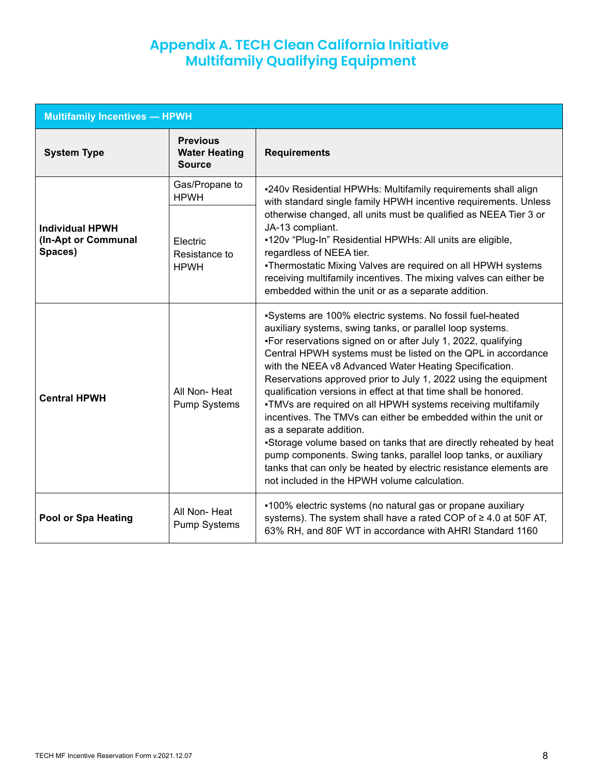# **Appendix A. TECH Clean California Initiative Multifamily Qualifying Equipment**

| <b>Multifamily Incentives - HPWH</b>                     |                                                          |                                                                                                                                                                                                                                                                                                                                                                                                                                                                                                                                                                                                                                                                                                                                                                                                                                                                                   |  |  |
|----------------------------------------------------------|----------------------------------------------------------|-----------------------------------------------------------------------------------------------------------------------------------------------------------------------------------------------------------------------------------------------------------------------------------------------------------------------------------------------------------------------------------------------------------------------------------------------------------------------------------------------------------------------------------------------------------------------------------------------------------------------------------------------------------------------------------------------------------------------------------------------------------------------------------------------------------------------------------------------------------------------------------|--|--|
| <b>System Type</b>                                       | <b>Previous</b><br><b>Water Heating</b><br><b>Source</b> | <b>Requirements</b>                                                                                                                                                                                                                                                                                                                                                                                                                                                                                                                                                                                                                                                                                                                                                                                                                                                               |  |  |
| <b>Individual HPWH</b><br>(In-Apt or Communal<br>Spaces) | Gas/Propane to<br><b>HPWH</b>                            | -240v Residential HPWHs: Multifamily requirements shall align<br>with standard single family HPWH incentive requirements. Unless                                                                                                                                                                                                                                                                                                                                                                                                                                                                                                                                                                                                                                                                                                                                                  |  |  |
|                                                          | <b>Electric</b><br>Resistance to<br><b>HPWH</b>          | otherwise changed, all units must be qualified as NEEA Tier 3 or<br>JA-13 compliant.<br>-120v "Plug-In" Residential HPWHs: All units are eligible,<br>regardless of NEEA tier.<br>-Thermostatic Mixing Valves are required on all HPWH systems<br>receiving multifamily incentives. The mixing valves can either be<br>embedded within the unit or as a separate addition.                                                                                                                                                                                                                                                                                                                                                                                                                                                                                                        |  |  |
| <b>Central HPWH</b>                                      | All Non-Heat<br><b>Pump Systems</b>                      | -Systems are 100% electric systems. No fossil fuel-heated<br>auxiliary systems, swing tanks, or parallel loop systems.<br>-For reservations signed on or after July 1, 2022, qualifying<br>Central HPWH systems must be listed on the QPL in accordance<br>with the NEEA v8 Advanced Water Heating Specification.<br>Reservations approved prior to July 1, 2022 using the equipment<br>qualification versions in effect at that time shall be honored.<br>-TMVs are required on all HPWH systems receiving multifamily<br>incentives. The TMVs can either be embedded within the unit or<br>as a separate addition.<br>-Storage volume based on tanks that are directly reheated by heat<br>pump components. Swing tanks, parallel loop tanks, or auxiliary<br>tanks that can only be heated by electric resistance elements are<br>not included in the HPWH volume calculation. |  |  |
| Pool or Spa Heating                                      | All Non-Heat<br>Pump Systems                             | •100% electric systems (no natural gas or propane auxiliary<br>systems). The system shall have a rated COP of ≥ 4.0 at 50F AT,<br>63% RH, and 80F WT in accordance with AHRI Standard 1160                                                                                                                                                                                                                                                                                                                                                                                                                                                                                                                                                                                                                                                                                        |  |  |